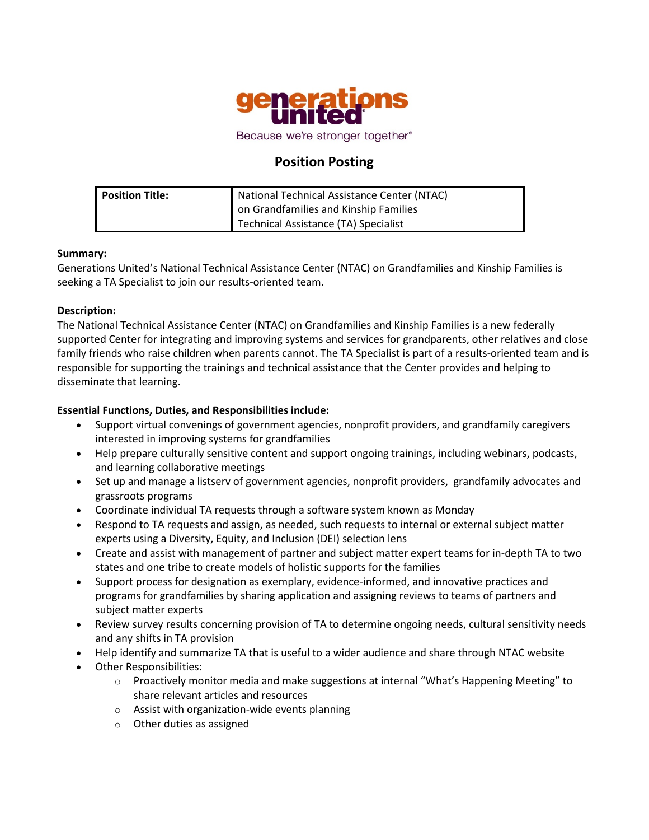

Because we're stronger together<sup>®</sup>

# **Position Posting**

| <b>Position Title:</b> | National Technical Assistance Center (NTAC) |
|------------------------|---------------------------------------------|
|                        | on Grandfamilies and Kinship Families       |
|                        | Technical Assistance (TA) Specialist        |

### **Summary:**

Generations United's National Technical Assistance Center (NTAC) on Grandfamilies and Kinship Families is seeking a TA Specialist to join our results-oriented team.

## **Description:**

The National Technical Assistance Center (NTAC) on Grandfamilies and Kinship Families is a new federally supported Center for integrating and improving systems and services for grandparents, other relatives and close family friends who raise children when parents cannot. The TA Specialist is part of a results-oriented team and is responsible for supporting the trainings and technical assistance that the Center provides and helping to disseminate that learning.

## **Essential Functions, Duties, and Responsibilities include:**

- Support virtual convenings of government agencies, nonprofit providers, and grandfamily caregivers interested in improving systems for grandfamilies
- Help prepare culturally sensitive content and support ongoing trainings, including webinars, podcasts, and learning collaborative meetings
- Set up and manage a listserv of government agencies, nonprofit providers, grandfamily advocates and grassroots programs
- Coordinate individual TA requests through a software system known as Monday
- Respond to TA requests and assign, as needed, such requests to internal or external subject matter experts using a Diversity, Equity, and Inclusion (DEI) selection lens
- Create and assist with management of partner and subject matter expert teams for in-depth TA to two states and one tribe to create models of holistic supports for the families
- Support process for designation as exemplary, evidence-informed, and innovative practices and programs for grandfamilies by sharing application and assigning reviews to teams of partners and subject matter experts
- Review survey results concerning provision of TA to determine ongoing needs, cultural sensitivity needs and any shifts in TA provision
- Help identify and summarize TA that is useful to a wider audience and share through NTAC website
- Other Responsibilities:
	- o Proactively monitor media and make suggestions at internal "What's Happening Meeting" to share relevant articles and resources
	- o Assist with organization-wide events planning
	- o Other duties as assigned